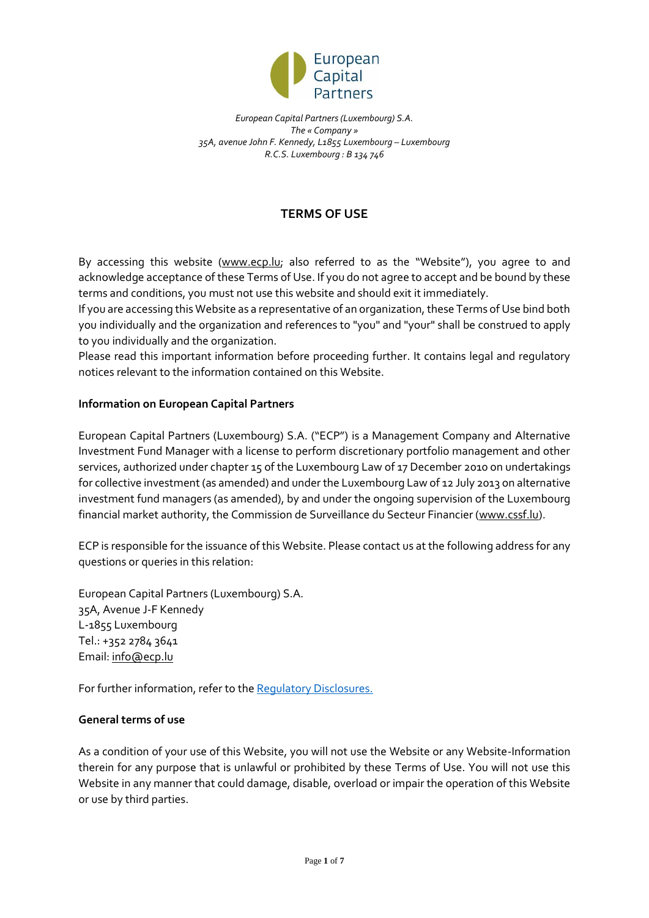

# **TERMS OF USE**

By accessing this website [\(www.ecp.lu;](www.ecp.lu) also referred to as the "Website"), you agree to and acknowledge acceptance of these Terms of Use. If you do not agree to accept and be bound by these terms and conditions, you must not use this website and should exit it immediately.

If you are accessing this Website as a representative of an organization, these Terms of Use bind both you individually and the organization and references to "you" and "your" shall be construed to apply to you individually and the organization.

Please read this important information before proceeding further. It contains legal and regulatory notices relevant to the information contained on this Website.

# **Information on European Capital Partners**

European Capital Partners (Luxembourg) S.A. ("ECP") is a Management Company and Alternative Investment Fund Manager with a license to perform discretionary portfolio management and other services, authorized under chapter 15 of the Luxembourg Law of 17 December 2010 on undertakings for collective investment (as amended) and under the Luxembourg Law of 12 July 2013 on alternative investment fund managers (as amended), by and under the ongoing supervision of the Luxembourg financial market authority, the Commission de Surveillance du Secteur Financier [\(www.cssf.lu\)](http://www.cssf.lu/).

ECP is responsible for the issuance of this Website. Please contact us at the following address for any questions or queries in this relation:

European Capital Partners (Luxembourg) S.A. 35A, Avenue J-F Kennedy L-1855 Luxembourg Tel.: +352 2784 3641 Email: [info@ecp.lu](mailto:info@ecp.lu)

For further information, refer to th[e Regulatory Disclosures.](http://ecp.lu/wp-content/uploads/REGULATORY-DISCLOSURE.pdf)

#### **General terms of use**

As a condition of your use of this Website, you will not use the Website or any Website-Information therein for any purpose that is unlawful or prohibited by these Terms of Use. You will not use this Website in any manner that could damage, disable, overload or impair the operation of this Website or use by third parties.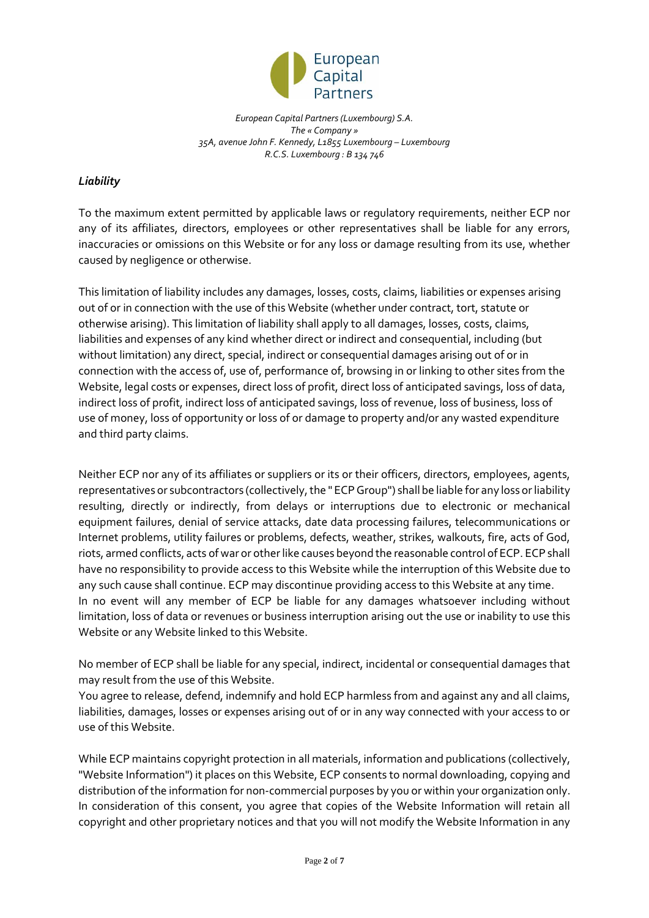

# *Liability*

To the maximum extent permitted by applicable laws or regulatory requirements, neither ECP nor any of its affiliates, directors, employees or other representatives shall be liable for any errors, inaccuracies or omissions on this Website or for any loss or damage resulting from its use, whether caused by negligence or otherwise.

This limitation of liability includes any damages, losses, costs, claims, liabilities or expenses arising out of or in connection with the use of this Website (whether under contract, tort, statute or otherwise arising). This limitation of liability shall apply to all damages, losses, costs, claims, liabilities and expenses of any kind whether direct or indirect and consequential, including (but without limitation) any direct, special, indirect or consequential damages arising out of or in connection with the access of, use of, performance of, browsing in or linking to other sites from the Website, legal costs or expenses, direct loss of profit, direct loss of anticipated savings, loss of data, indirect loss of profit, indirect loss of anticipated savings, loss of revenue, loss of business, loss of use of money, loss of opportunity or loss of or damage to property and/or any wasted expenditure and third party claims.

Neither ECP nor any of its affiliates or suppliers or its or their officers, directors, employees, agents, representatives or subcontractors (collectively, the " ECP Group") shall be liable for any loss or liability resulting, directly or indirectly, from delays or interruptions due to electronic or mechanical equipment failures, denial of service attacks, date data processing failures, telecommunications or Internet problems, utility failures or problems, defects, weather, strikes, walkouts, fire, acts of God, riots, armed conflicts, acts of war or other like causes beyond the reasonable control of ECP. ECP shall have no responsibility to provide access to this Website while the interruption of this Website due to any such cause shall continue. ECP may discontinue providing access to this Website at any time. In no event will any member of ECP be liable for any damages whatsoever including without limitation, loss of data or revenues or business interruption arising out the use or inability to use this Website or any Website linked to this Website.

No member of ECP shall be liable for any special, indirect, incidental or consequential damages that may result from the use of this Website.

You agree to release, defend, indemnify and hold ECP harmless from and against any and all claims, liabilities, damages, losses or expenses arising out of or in any way connected with your access to or use of this Website.

While ECP maintains copyright protection in all materials, information and publications (collectively, "Website Information") it places on this Website, ECP consents to normal downloading, copying and distribution of the information for non-commercial purposes by you or within your organization only. In consideration of this consent, you agree that copies of the Website Information will retain all copyright and other proprietary notices and that you will not modify the Website Information in any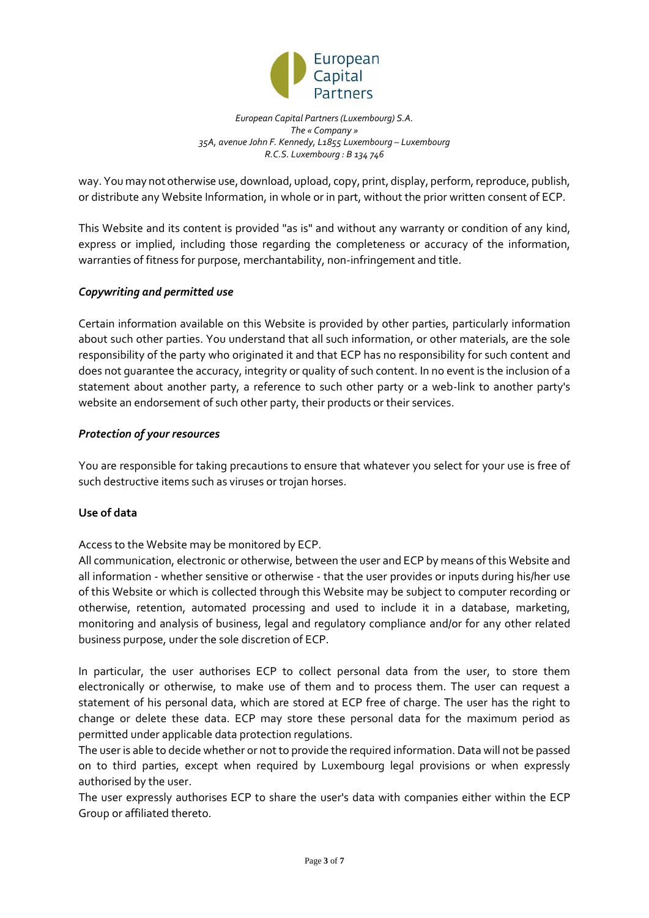

way. You may not otherwise use, download, upload, copy, print, display, perform, reproduce, publish, or distribute any Website Information, in whole or in part, without the prior written consent of ECP.

This Website and its content is provided "as is" and without any warranty or condition of any kind, express or implied, including those regarding the completeness or accuracy of the information, warranties of fitness for purpose, merchantability, non-infringement and title.

# *Copywriting and permitted use*

Certain information available on this Website is provided by other parties, particularly information about such other parties. You understand that all such information, or other materials, are the sole responsibility of the party who originated it and that ECP has no responsibility for such content and does not guarantee the accuracy, integrity or quality of such content. In no event is the inclusion of a statement about another party, a reference to such other party or a web-link to another party's website an endorsement of such other party, their products or their services.

#### *Protection of your resources*

You are responsible for taking precautions to ensure that whatever you select for your use is free of such destructive items such as viruses or trojan horses.

#### **Use of data**

Access to the Website may be monitored by ECP.

All communication, electronic or otherwise, between the user and ECP by means of this Website and all information - whether sensitive or otherwise - that the user provides or inputs during his/her use of this Website or which is collected through this Website may be subject to computer recording or otherwise, retention, automated processing and used to include it in a database, marketing, monitoring and analysis of business, legal and regulatory compliance and/or for any other related business purpose, under the sole discretion of ECP.

In particular, the user authorises ECP to collect personal data from the user, to store them electronically or otherwise, to make use of them and to process them. The user can request a statement of his personal data, which are stored at ECP free of charge. The user has the right to change or delete these data. ECP may store these personal data for the maximum period as permitted under applicable data protection regulations.

The user is able to decide whether or not to provide the required information. Data will not be passed on to third parties, except when required by Luxembourg legal provisions or when expressly authorised by the user.

The user expressly authorises ECP to share the user's data with companies either within the ECP Group or affiliated thereto.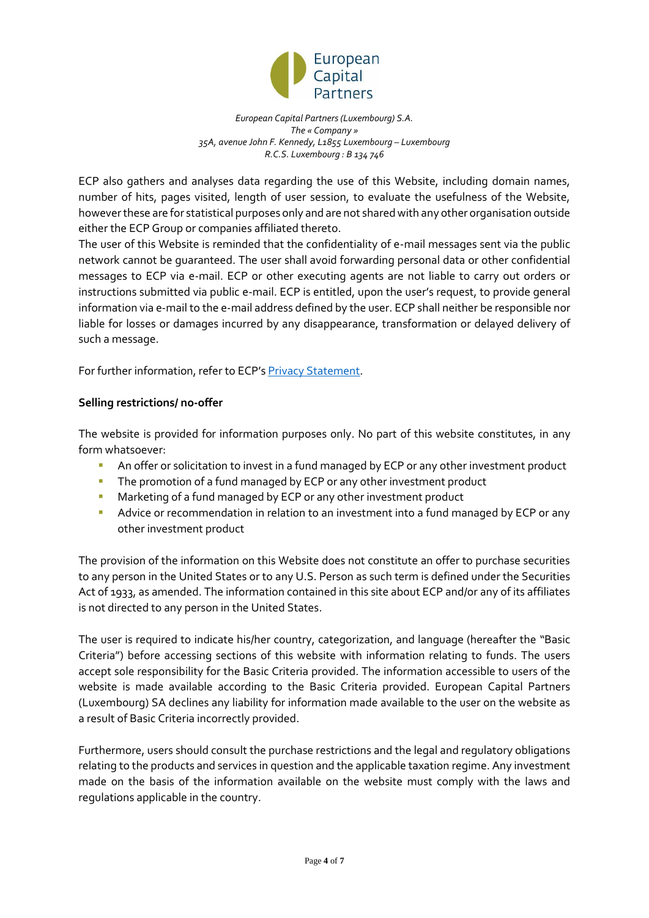

ECP also gathers and analyses data regarding the use of this Website, including domain names, number of hits, pages visited, length of user session, to evaluate the usefulness of the Website, however these are for statistical purposes only and are not shared with any other organisation outside either the ECP Group or companies affiliated thereto.

The user of this Website is reminded that the confidentiality of e-mail messages sent via the public network cannot be guaranteed. The user shall avoid forwarding personal data or other confidential messages to ECP via e-mail. ECP or other executing agents are not liable to carry out orders or instructions submitted via public e-mail. ECP is entitled, upon the user's request, to provide general information via e-mail to the e-mail address defined by the user. ECP shall neither be responsible nor liable for losses or damages incurred by any disappearance, transformation or delayed delivery of such a message.

For further information, refer to ECP's [Privacy Statement.](http://ecp.lu/wp-content/uploads/PRIVACY-POLICY.pdf)

# **Selling restrictions/ no-offer**

The website is provided for information purposes only. No part of this website constitutes, in any form whatsoever:

- An offer or solicitation to invest in a fund managed by ECP or any other investment product
- **The promotion of a fund managed by ECP or any other investment product**
- **Marketing of a fund managed by ECP or any other investment product**
- **Advice or recommendation in relation to an investment into a fund managed by ECP or any** other investment product

The provision of the information on this Website does not constitute an offer to purchase securities to any person in the United States or to any U.S. Person as such term is defined under the Securities Act of 1933, as amended. The information contained in this site about ECP and/or any of its affiliates is not directed to any person in the United States.

The user is required to indicate his/her country, categorization, and language (hereafter the "Basic Criteria") before accessing sections of this website with information relating to funds. The users accept sole responsibility for the Basic Criteria provided. The information accessible to users of the website is made available according to the Basic Criteria provided. European Capital Partners (Luxembourg) SA declines any liability for information made available to the user on the website as a result of Basic Criteria incorrectly provided.

Furthermore, users should consult the purchase restrictions and the legal and regulatory obligations relating to the products and services in question and the applicable taxation regime. Any investment made on the basis of the information available on the website must comply with the laws and regulations applicable in the country.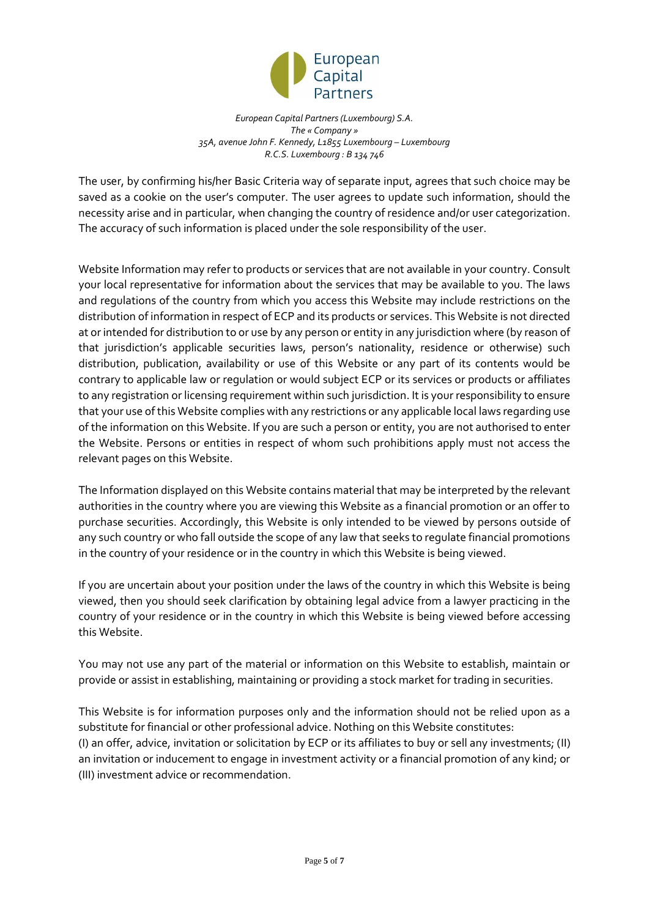

The user, by confirming his/her Basic Criteria way of separate input, agrees that such choice may be saved as a cookie on the user's computer. The user agrees to update such information, should the necessity arise and in particular, when changing the country of residence and/or user categorization. The accuracy of such information is placed under the sole responsibility of the user.

Website Information may refer to products or services that are not available in your country. Consult your local representative for information about the services that may be available to you. The laws and regulations of the country from which you access this Website may include restrictions on the distribution of information in respect of ECP and its products or services. This Website is not directed at or intended for distribution to or use by any person or entity in any jurisdiction where (by reason of that jurisdiction's applicable securities laws, person's nationality, residence or otherwise) such distribution, publication, availability or use of this Website or any part of its contents would be contrary to applicable law or regulation or would subject ECP or its services or products or affiliates to any registration or licensing requirement within such jurisdiction. It is your responsibility to ensure that your use of this Website complies with any restrictions or any applicable local laws regarding use of the information on this Website. If you are such a person or entity, you are not authorised to enter the Website. Persons or entities in respect of whom such prohibitions apply must not access the relevant pages on this Website.

The Information displayed on this Website contains material that may be interpreted by the relevant authorities in the country where you are viewing this Website as a financial promotion or an offer to purchase securities. Accordingly, this Website is only intended to be viewed by persons outside of any such country or who fall outside the scope of any law that seeks to regulate financial promotions in the country of your residence or in the country in which this Website is being viewed.

If you are uncertain about your position under the laws of the country in which this Website is being viewed, then you should seek clarification by obtaining legal advice from a lawyer practicing in the country of your residence or in the country in which this Website is being viewed before accessing this Website.

You may not use any part of the material or information on this Website to establish, maintain or provide or assist in establishing, maintaining or providing a stock market for trading in securities.

This Website is for information purposes only and the information should not be relied upon as a substitute for financial or other professional advice. Nothing on this Website constitutes: (I) an offer, advice, invitation or solicitation by ECP or its affiliates to buy or sell any investments; (II) an invitation or inducement to engage in investment activity or a financial promotion of any kind; or (III) investment advice or recommendation.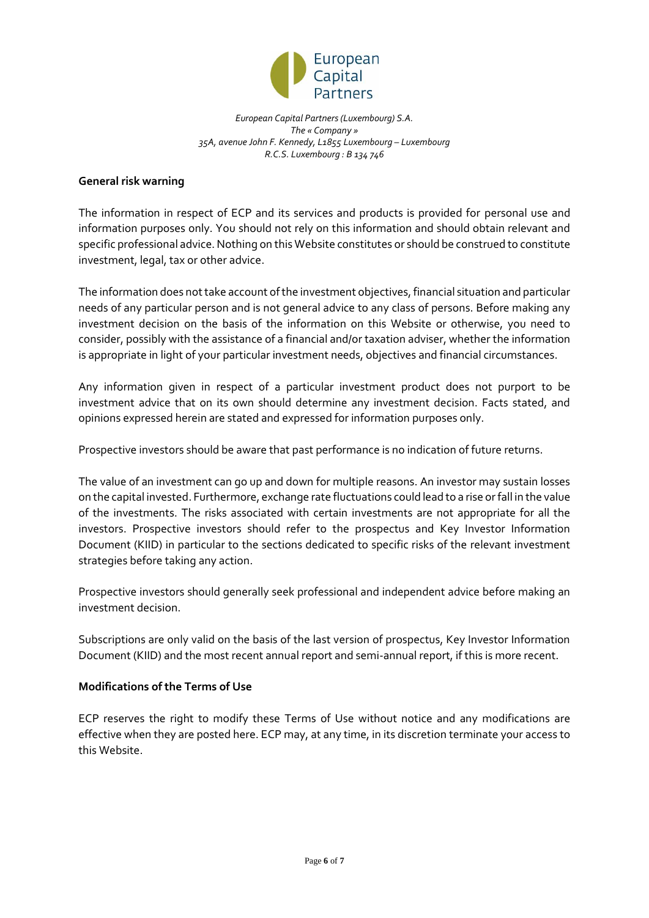

## **General risk warning**

The information in respect of ECP and its services and products is provided for personal use and information purposes only. You should not rely on this information and should obtain relevant and specific professional advice. Nothing on this Website constitutes or should be construed to constitute investment, legal, tax or other advice.

The information does not take account of the investment objectives, financial situation and particular needs of any particular person and is not general advice to any class of persons. Before making any investment decision on the basis of the information on this Website or otherwise, you need to consider, possibly with the assistance of a financial and/or taxation adviser, whether the information is appropriate in light of your particular investment needs, objectives and financial circumstances.

Any information given in respect of a particular investment product does not purport to be investment advice that on its own should determine any investment decision. Facts stated, and opinions expressed herein are stated and expressed for information purposes only.

Prospective investors should be aware that past performance is no indication of future returns.

The value of an investment can go up and down for multiple reasons. An investor may sustain losses on the capital invested. Furthermore, exchange rate fluctuations could lead to a rise or fall in the value of the investments. The risks associated with certain investments are not appropriate for all the investors. Prospective investors should refer to the prospectus and Key Investor Information Document (KIID) in particular to the sections dedicated to specific risks of the relevant investment strategies before taking any action.

Prospective investors should generally seek professional and independent advice before making an investment decision.

Subscriptions are only valid on the basis of the last version of prospectus, Key Investor Information Document (KIID) and the most recent annual report and semi-annual report, if this is more recent.

## **Modifications of the Terms of Use**

ECP reserves the right to modify these Terms of Use without notice and any modifications are effective when they are posted here. ECP may, at any time, in its discretion terminate your access to this Website.